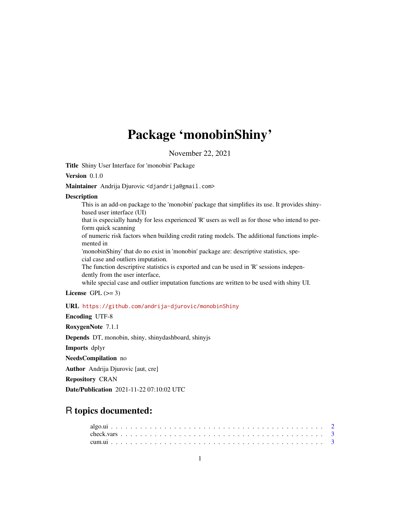# Package 'monobinShiny'

November 22, 2021

Title Shiny User Interface for 'monobin' Package

# Version 0.1.0

Maintainer Andrija Djurovic <djandrija@gmail.com>

#### **Description**

This is an add-on package to the 'monobin' package that simplifies its use. It provides shinybased user interface (UI)

that is especially handy for less experienced 'R' users as well as for those who intend to perform quick scanning

of numeric risk factors when building credit rating models. The additional functions implemented in

'monobinShiny' that do no exist in 'monobin' package are: descriptive statistics, special case and outliers imputation.

The function descriptive statistics is exported and can be used in 'R' sessions independently from the user interface,

while special case and outlier imputation functions are written to be used with shiny UI.

License GPL  $(>= 3)$ 

#### URL <https://github.com/andrija-djurovic/monobinShiny>

Encoding UTF-8 RoxygenNote 7.1.1 Depends DT, monobin, shiny, shinydashboard, shinyjs Imports dplyr NeedsCompilation no Author Andrija Djurovic [aut, cre] Repository CRAN Date/Publication 2021-11-22 07:10:02 UTC

# R topics documented: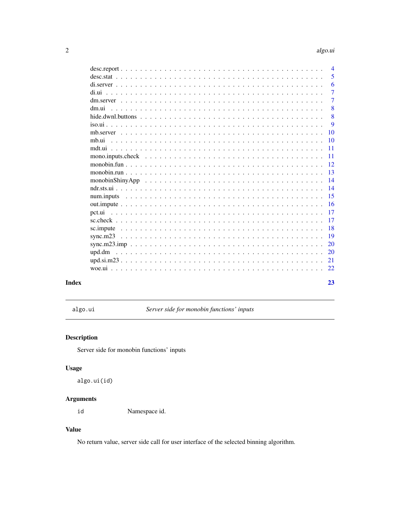# algo.ui

23

<span id="page-1-0"></span>

|        |  | $\overline{4}$ |
|--------|--|----------------|
|        |  | 5              |
|        |  | 6              |
|        |  | $\overline{7}$ |
|        |  | 7              |
| dm.ui  |  | 8              |
|        |  | 8              |
|        |  | 9              |
|        |  | 10             |
| mb.ui  |  | 10             |
|        |  | 11             |
|        |  | 11             |
|        |  | 12             |
|        |  | 13             |
|        |  | 14             |
|        |  | 14             |
|        |  | 15             |
|        |  | 16             |
|        |  | 17             |
|        |  | 17             |
|        |  |                |
|        |  | 18             |
|        |  | 19             |
|        |  | 20             |
| upd.dm |  | 20             |
|        |  | 21             |
|        |  | 22             |
|        |  |                |

# **Index**

algo.ui

Server side for monobin functions' inputs

# **Description**

Server side for monobin functions' inputs

# **Usage**

algo.ui(id)

# **Arguments**

Namespace id. id

# **Value**

No return value, server side call for user interface of the selected binning algorithm.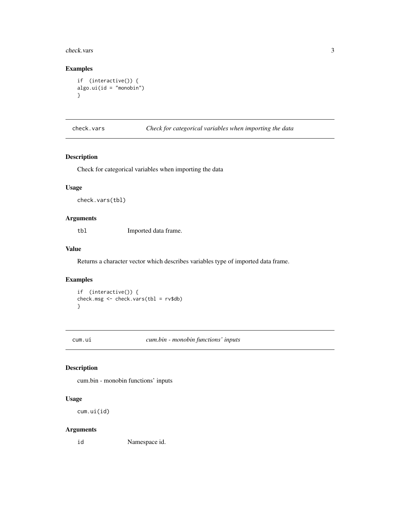<span id="page-2-0"></span>check.vars 3

### Examples

```
if (interactive()) {
algo.ui(id = "monobin")
}
```
# check.vars *Check for categorical variables when importing the data*

# Description

Check for categorical variables when importing the data

#### Usage

check.vars(tbl)

#### Arguments

tbl Imported data frame.

# Value

Returns a character vector which describes variables type of imported data frame.

# Examples

if (interactive()) { check.msg <- check.vars(tbl = rv\$db) }

cum.ui *cum.bin - monobin functions' inputs*

### Description

cum.bin - monobin functions' inputs

#### Usage

cum.ui(id)

# Arguments

id Namespace id.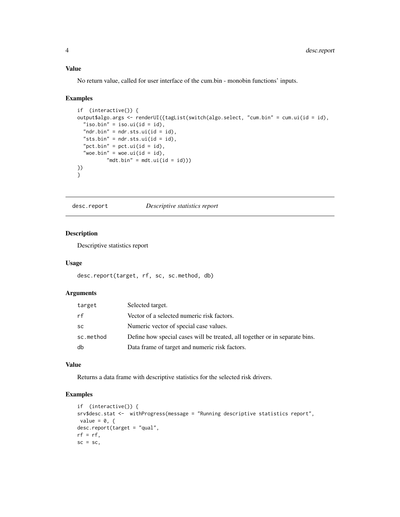### <span id="page-3-0"></span>Value

No return value, called for user interface of the cum.bin - monobin functions' inputs.

#### Examples

```
if (interactive()) {
output$algo.args <- renderUI({tagList(switch(algo.select, "cum.bin" = cum.ui(id = id),
  "iso.bin" = iso.ui(id = id),
  "ndr.bin" = ndr.sts.ui(id = id),
  "sts.bin" = ndr.sts.ui(id = id),
  "pct.bin" = pct.ui(id = id),
  "woe.bin" = woe.ui(id = id),
          "mdt.bin" = mdt.ui(id = id)))
})
}
```
desc.report *Descriptive statistics report*

# Description

Descriptive statistics report

#### Usage

```
desc.report(target, rf, sc, sc.method, db)
```
#### Arguments

| target    | Selected target.                                                            |
|-----------|-----------------------------------------------------------------------------|
| rf        | Vector of a selected numeric risk factors.                                  |
| <b>SC</b> | Numeric vector of special case values.                                      |
| sc.method | Define how special cases will be treated, all together or in separate bins. |
| db        | Data frame of target and numeric risk factors.                              |

#### Value

Returns a data frame with descriptive statistics for the selected risk drivers.

```
if (interactive()) {
srv$desc.stat <- withProgress(message = "Running descriptive statistics report",
value = 0, \{desc.report(target = "qual",
rf = rf,sc = sc,
```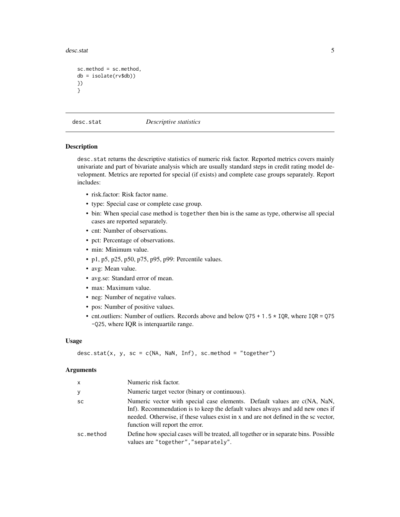<span id="page-4-0"></span>desc.stat 5

```
sc.method = sc.method,
db = isolate(rv$db))
})
}
```
desc.stat *Descriptive statistics*

### Description

desc.stat returns the descriptive statistics of numeric risk factor. Reported metrics covers mainly univariate and part of bivariate analysis which are usually standard steps in credit rating model development. Metrics are reported for special (if exists) and complete case groups separately. Report includes:

- risk.factor: Risk factor name.
- type: Special case or complete case group.
- bin: When special case method is together then bin is the same as type, otherwise all special cases are reported separately.
- cnt: Number of observations.
- pct: Percentage of observations.
- min: Minimum value.
- p1, p5, p25, p50, p75, p95, p99: Percentile values.
- avg: Mean value.
- avg.se: Standard error of mean.
- max: Maximum value.
- neg: Number of negative values.
- pos: Number of positive values.
- cnt.outliers: Number of outliers. Records above and below  $Q75 + 1.5 \times IQR$ , where IQR = Q75 -Q25, where IQR is interquartile range.

#### Usage

```
desc.start(x, y, sc = c(NA, NaN, Inf), sc.method = "together")
```
#### Arguments

| X         | Numeric risk factor.                                                                                                                                                                                                                                                                |
|-----------|-------------------------------------------------------------------------------------------------------------------------------------------------------------------------------------------------------------------------------------------------------------------------------------|
| У         | Numeric target vector (binary or continuous).                                                                                                                                                                                                                                       |
| SC        | Numeric vector with special case elements. Default values are c(NA, NaN,<br>Inf). Recommendation is to keep the default values always and add new ones if<br>needed. Otherwise, if these values exist in x and are not defined in the sc vector,<br>function will report the error. |
| sc.method | Define how special cases will be treated, all together or in separate bins. Possible<br>values are "together", "separately".                                                                                                                                                        |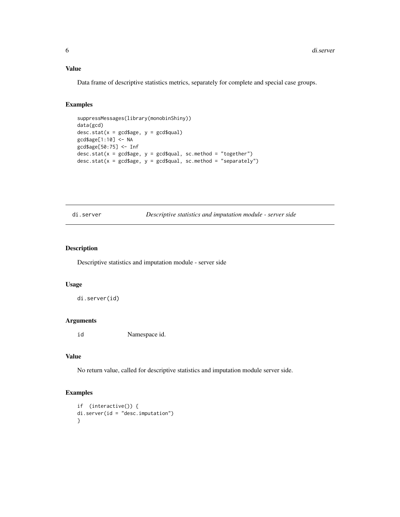#### <span id="page-5-0"></span>Value

Data frame of descriptive statistics metrics, separately for complete and special case groups.

# Examples

```
suppressMessages(library(monobinShiny))
data(gcd)
desc.stat(x = \text{gcd}$age, y = \text{gcd}$qual)
gcd$age[1:10] <- NA
gcd$age[50:75] <- Inf
desc.stat(x = gcd$age, y = gcd$qual, sc.method = "together")
desc.stat(x = gcd$age, y = gcd$qual, sc.method = "separately")
```
di.server *Descriptive statistics and imputation module - server side*

# Description

Descriptive statistics and imputation module - server side

#### Usage

di.server(id)

### Arguments

id Namespace id.

#### Value

No return value, called for descriptive statistics and imputation module server side.

```
if (interactive()) {
di.server(id = "desc.imputation")
}
```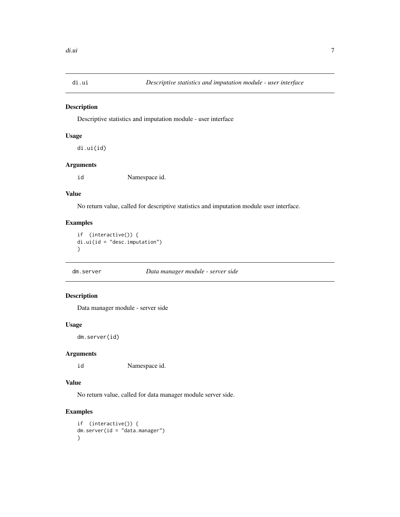<span id="page-6-0"></span>

Descriptive statistics and imputation module - user interface

# Usage

di.ui(id)

# Arguments

id Namespace id.

# Value

No return value, called for descriptive statistics and imputation module user interface.

### Examples

if (interactive()) { di.ui(id = "desc.imputation") }

dm.server *Data manager module - server side*

# Description

Data manager module - server side

#### Usage

```
dm.server(id)
```
# Arguments

id Namespace id.

#### Value

No return value, called for data manager module server side.

```
if (interactive()) {
dm.server(id = "data.manager")
}
```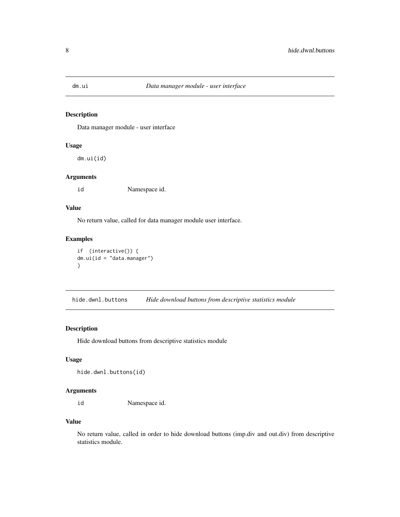<span id="page-7-0"></span>

Data manager module - user interface

# Usage

dm.ui(id)

#### Arguments

id Namespace id.

# Value

No return value, called for data manager module user interface.

# Examples

```
if (interactive()) {
dm.ui(id = "data.manager")
}
```
hide.dwnl.buttons *Hide download buttons from descriptive statistics module*

# Description

Hide download buttons from descriptive statistics module

#### Usage

```
hide.dwnl.buttons(id)
```
#### Arguments

id Namespace id.

# Value

No return value, called in order to hide download buttons (imp.div and out.div) from descriptive statistics module.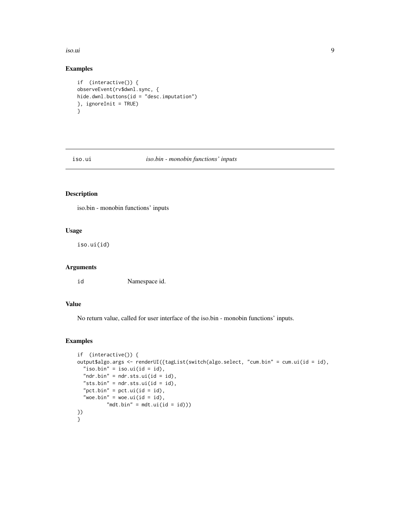<span id="page-8-0"></span>iso.ui 9

# Examples

```
if (interactive()) {
observeEvent(rv$dwnl.sync, {
hide.dwnl.buttons(id = "desc.imputation")
}, ignoreInit = TRUE)
}
```
iso.ui *iso.bin - monobin functions' inputs*

# Description

iso.bin - monobin functions' inputs

# Usage

iso.ui(id)

# Arguments

id Namespace id.

# Value

No return value, called for user interface of the iso.bin - monobin functions' inputs.

```
if (interactive()) {
output$algo.args <- renderUI({tagList(switch(algo.select, "cum.bin" = cum.ui(id = id),
  "iso.bin" = iso.ui(id = id),
  "ndr.bin" = ndr.sts.ui(id = id),
  "sts.bin" = ndr.sts.ui(id = id),
  "pct.bin" = pct.ui(id = id),
  "woe.bin" = woe.ui(id = id),
          "mdt.bin" = mdt.ui(id = id))
})
}
```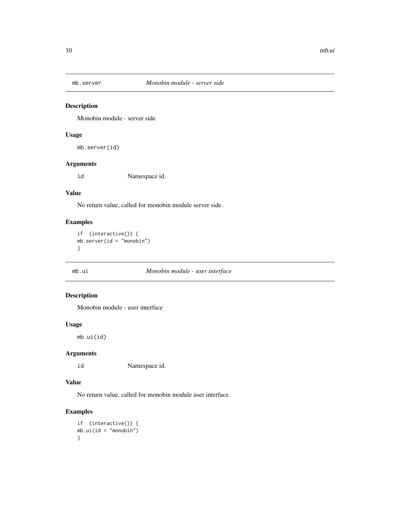<span id="page-9-0"></span>

Monobin module - server side

# Usage

mb.server(id)

# Arguments

id Namespace id.

#### Value

No return value, called for monobin module server side.

# Examples

```
if (interactive()) {
mb \cdot server(id = "monobin")}
```
# mb.ui *Monobin module - user interface*

# Description

Monobin module - user interface

#### Usage

mb.ui(id)

# Arguments

id Namespace id.

# Value

No return value, called for monobin module user interface.

```
if (interactive()) {
mb.ui(id = "monobin")
}
```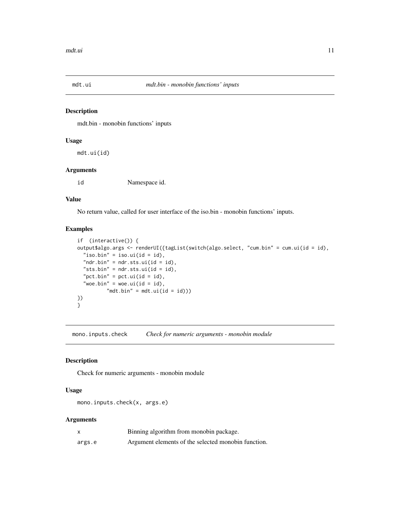<span id="page-10-0"></span>

mdt.bin - monobin functions' inputs

#### Usage

mdt.ui(id)

# Arguments

id Namespace id.

# Value

No return value, called for user interface of the iso.bin - monobin functions' inputs.

#### Examples

```
if (interactive()) {
output$algo.args <- renderUI({tagList(switch(algo.select, "cum.bin" = cum.ui(id = id),
  "iso.bin" = iso.ui(id = id),
  "ndr.bin" = ndr.sts.ui(id = id),
  "sts.bin" = ndr.sts.ui(id = id),
  "pct.bin" = pct.ui(id = id),
  "woe.bin" = woe.ui(id = id),
          "mdt.bin" = mdt.ui(id = id)))
})
}
```
mono.inputs.check *Check for numeric arguments - monobin module*

# Description

Check for numeric arguments - monobin module

#### Usage

mono.inputs.check(x, args.e)

# Arguments

| $\boldsymbol{\mathsf{x}}$ | Binning algorithm from monobin package.             |
|---------------------------|-----------------------------------------------------|
| args.e                    | Argument elements of the selected monobin function. |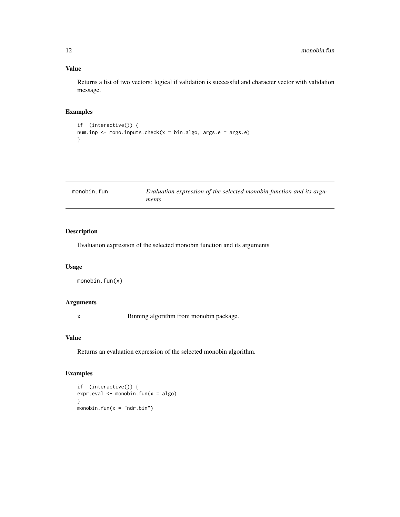# Value

Returns a list of two vectors: logical if validation is successful and character vector with validation message.

# Examples

```
if (interactive()) {
num.inp <- mono.inputs.check(x = bin.algo, args.e = args.e)
}
```

| monobin.fun | Evaluation expression of the selected monobin function and its argu- |
|-------------|----------------------------------------------------------------------|
|             | ments                                                                |

# Description

Evaluation expression of the selected monobin function and its arguments

# Usage

```
monobin.fun(x)
```
#### Arguments

x Binning algorithm from monobin package.

#### Value

Returns an evaluation expression of the selected monobin algorithm.

# Examples

if (interactive()) { expr.eval <- monobin.fun(x = algo) } monobin.fun( $x = "ndr.bin")$ 

<span id="page-11-0"></span>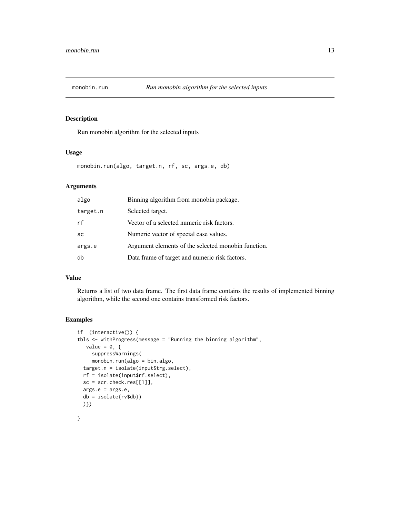<span id="page-12-0"></span>

Run monobin algorithm for the selected inputs

#### Usage

monobin.run(algo, target.n, rf, sc, args.e, db)

# Arguments

| algo      | Binning algorithm from monobin package.             |
|-----------|-----------------------------------------------------|
| target.n  | Selected target.                                    |
| rf        | Vector of a selected numeric risk factors.          |
| <b>SC</b> | Numeric vector of special case values.              |
| args.e    | Argument elements of the selected monobin function. |
| db        | Data frame of target and numeric risk factors.      |

#### Value

Returns a list of two data frame. The first data frame contains the results of implemented binning algorithm, while the second one contains transformed risk factors.

```
if (interactive()) {
tbls \leq withProgress(message = "Running the binning algorithm",
  value = 0, \{suppressWarnings(
    monobin.run(algo = bin.algo,
 target.n = isolate(input$trg.select),
 rf = isolate(input$rf.select),
 sc = scr. check. res[[1]],args.e = args.e,
 db = isolate(rv$db))
 )})
}
```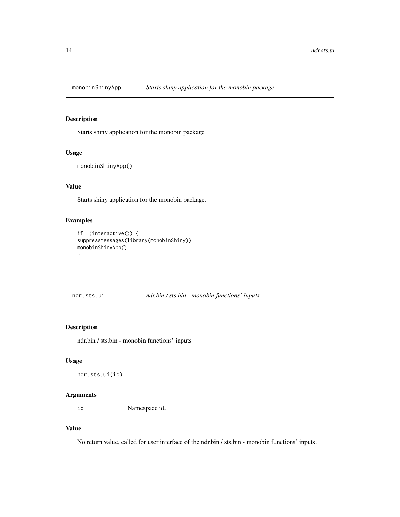<span id="page-13-0"></span>

Starts shiny application for the monobin package

#### Usage

```
monobinShinyApp()
```
# Value

Starts shiny application for the monobin package.

# Examples

```
if (interactive()) {
suppressMessages(library(monobinShiny))
monobinShinyApp()
}
```
ndr.sts.ui *ndr.bin / sts.bin - monobin functions' inputs*

#### Description

ndr.bin / sts.bin - monobin functions' inputs

### Usage

```
ndr.sts.ui(id)
```
# Arguments

id Namespace id.

#### Value

No return value, called for user interface of the ndr.bin / sts.bin - monobin functions' inputs.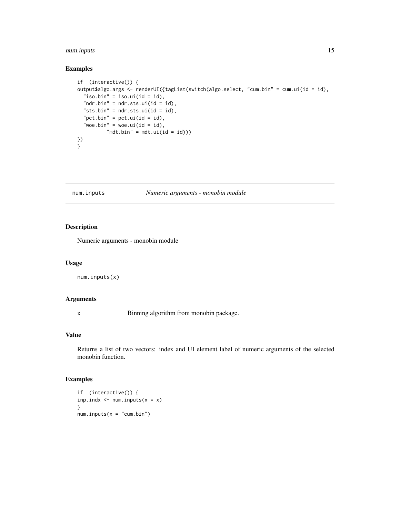# <span id="page-14-0"></span>num.inputs 15

#### Examples

```
if (interactive()) {
output$algo.args <- renderUI({tagList(switch(algo.select, "cum.bin" = cum.ui(id = id),
  "iso.bin" = iso.ui(id = id),
  "ndr.bin" = ndr.sts.ui(id = id),
  "sts.bin" = ndr.sts.ui(id = id),
  "pct.bin" = pct.ui(id = id),
  "woe.bin" = woe.ui(id = id),
          "mdt.bin" = mdt.ui(id = id)))
})
}
```
num.inputs *Numeric arguments - monobin module*

# Description

Numeric arguments - monobin module

#### Usage

num.inputs(x)

#### Arguments

x Binning algorithm from monobin package.

#### Value

Returns a list of two vectors: index and UI element label of numeric arguments of the selected monobin function.

#### Examples

if (interactive()) { inp.indx  $\leq$  num.inputs( $x = x$ ) }  $num.inputs(x = "cum/bin")$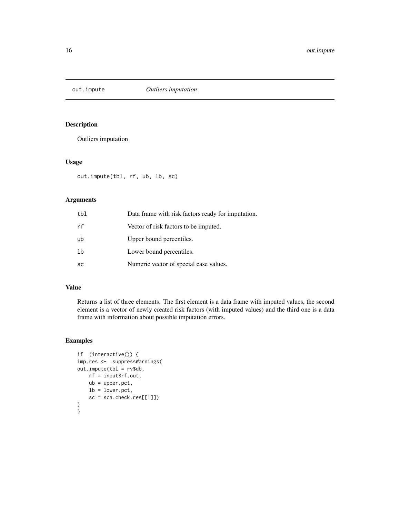<span id="page-15-0"></span>

Outliers imputation

# Usage

out.impute(tbl, rf, ub, lb, sc)

# Arguments

| tbl       | Data frame with risk factors ready for imputation. |
|-----------|----------------------------------------------------|
| rf        | Vector of risk factors to be imputed.              |
| ub        | Upper bound percentiles.                           |
| 1b        | Lower bound percentiles.                           |
| <b>SC</b> | Numeric vector of special case values.             |

# Value

Returns a list of three elements. The first element is a data frame with imputed values, the second element is a vector of newly created risk factors (with imputed values) and the third one is a data frame with information about possible imputation errors.

```
if (interactive()) {
imp.res <- suppressWarnings(
out import (tb1 = rv$db,rf = input$rf.out,
   ub = upper.pct,
   lb = lower.pct,
    sc = sca.check.res[[1]])
)
}
```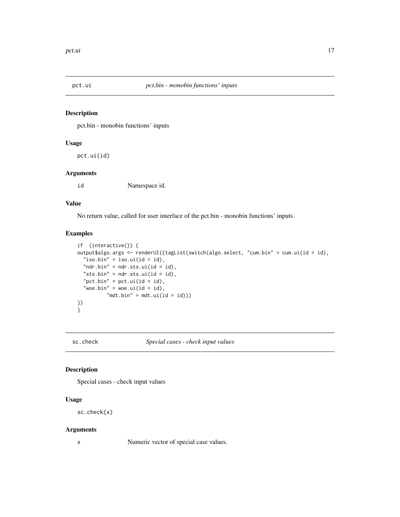<span id="page-16-0"></span>

pct.bin - monobin functions' inputs

# Usage

pct.ui(id)

#### Arguments

id Namespace id.

#### Value

No return value, called for user interface of the pct.bin - monobin functions' inputs.

# Examples

```
if (interactive()) {
output$algo.args <- renderUI({tagList(switch(algo.select, "cum.bin" = cum.ui(id = id),
  "iso.bin" = iso.ui(id = id),
  "ndr.bin" = ndr.sts.ui(id = id),
  "sts.bin" = ndr.sts.ui(id = id),
  "pct.bin" = pct.ui(id = id),
  "woe.bin" = woe.ui(id = id),
          "mdt.bin" = mdt.ui(id = id)))
})
}
```
sc.check *Special cases - check input values*

# Description

Special cases - check input values

#### Usage

sc.check(x)

#### Arguments

x Numeric vector of special case values.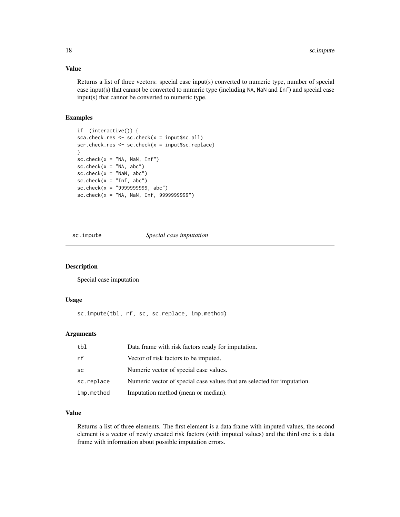### <span id="page-17-0"></span>Value

Returns a list of three vectors: special case input(s) converted to numeric type, number of special case input(s) that cannot be converted to numeric type (including NA, NaN and Inf) and special case input(s) that cannot be converted to numeric type.

# Examples

```
if (interactive()) {
sca.check.res <- sc.check(x = input$sc.all)
scr.check.res <- sc.check(x = input$sc.replace)
}
sc. check(x = "NA, \text{NaN}, \text{Inf")}sc.check(x = "NA, abc")sc.check(x = "NaN, abc")sc. check(x = "Inf, abc")sc.check(x = "9999999999, abc")
sc. check(x = "NA, \text{NaN}, \text{Inf}, 999999999'')
```
#### sc.impute *Special case imputation*

# Description

Special case imputation

#### Usage

sc.impute(tbl, rf, sc, sc.replace, imp.method)

# Arguments

| tbl        | Data frame with risk factors ready for imputation.                      |
|------------|-------------------------------------------------------------------------|
| rf         | Vector of risk factors to be imputed.                                   |
| SC         | Numeric vector of special case values.                                  |
| sc.replace | Numeric vector of special case values that are selected for imputation. |
| imp.method | Imputation method (mean or median).                                     |

# Value

Returns a list of three elements. The first element is a data frame with imputed values, the second element is a vector of newly created risk factors (with imputed values) and the third one is a data frame with information about possible imputation errors.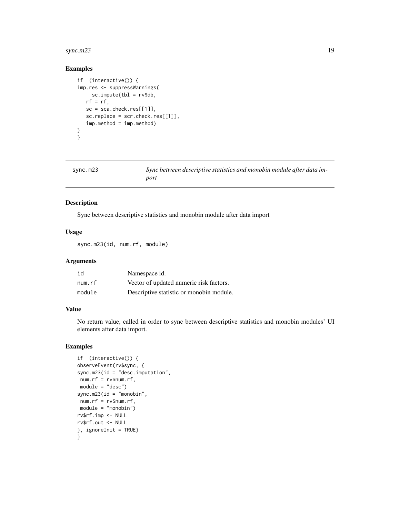#### <span id="page-18-0"></span>sync.m23  $19$

# Examples

```
if (interactive()) {
imp.res <- suppressWarnings(
    sc . impute(tbl = rv$db,rf = rf,sc = sca.check.res[[1]],sc.replace = scr.check.res[[1]],
   imp.method = imp.method)
\mathcal{L}}
```

| sync.m23 |  |
|----------|--|
|          |  |

Sync between descriptive statistics and monobin module after data im*port*

### Description

Sync between descriptive statistics and monobin module after data import

#### Usage

sync.m23(id, num.rf, module)

#### Arguments

| id     | Namespace id.                            |
|--------|------------------------------------------|
| num.rf | Vector of updated numeric risk factors.  |
| module | Descriptive statistic or monobin module. |

# Value

No return value, called in order to sync between descriptive statistics and monobin modules' UI elements after data import.

```
if (interactive()) {
observeEvent(rv$sync, {
sync.m23(id = "desc.imputation",
num.rf = rv$num.rf,
module = "desc")
sync.m23(id = "monobin",
num.rf = rv$num.rf,
module = "monobin")
rv$rf.imp <- NULL
rv$rf.out <- NULL
}, ignoreInit = TRUE)
}
```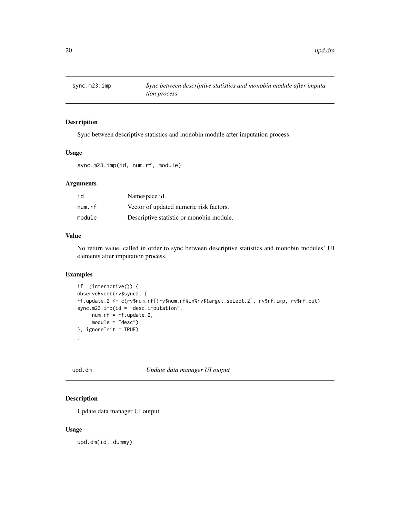<span id="page-19-0"></span>

Sync between descriptive statistics and monobin module after imputation process

#### Usage

sync.m23.imp(id, num.rf, module)

# Arguments

| id     | Namespace id.                            |
|--------|------------------------------------------|
| num.rf | Vector of updated numeric risk factors.  |
| module | Descriptive statistic or monobin module. |

#### Value

No return value, called in order to sync between descriptive statistics and monobin modules' UI elements after imputation process.

# Examples

```
if (interactive()) {
observeEvent(rv$sync2, {
rf.update.2 <- c(rv$num.rf[!rv$num.rf%in%rv$target.select.2], rv$rf.imp, rv$rf.out)
sync.m23.imp(id = "desc.imputation",
    num.rf = rf.update.2,
     module = "desc")
}, ignoreInit = TRUE)
}
```
upd.dm *Update data manager UI output*

#### Description

Update data manager UI output

#### Usage

upd.dm(id, dummy)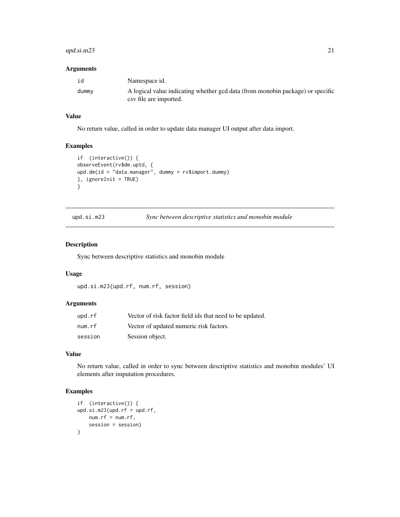# <span id="page-20-0"></span>upd.si.m23 21

#### Arguments

| id    | Namespace id.                                                                  |
|-------|--------------------------------------------------------------------------------|
| dummy | A logical value indicating whether gcd data (from monobin package) or specific |
|       | csv file are imported.                                                         |

# Value

No return value, called in order to update data manager UI output after data import.

# Examples

```
if (interactive()) {
observeEvent(rv$dm.uptd, {
upd.dm(id = "data.manager", dummy = rv$import.dummy)
}, ignoreInit = TRUE)
}
```

| upd.si.m23 | Sync between descriptive statistics and monobin module |  |  |  |  |  |
|------------|--------------------------------------------------------|--|--|--|--|--|
|------------|--------------------------------------------------------|--|--|--|--|--|

# Description

Sync between descriptive statistics and monobin module

#### Usage

```
upd.si.m23(upd.rf, num.rf, session)
```
# Arguments

| upd.rf  | Vector of risk factor field ids that need to be updated. |
|---------|----------------------------------------------------------|
| num.rf  | Vector of updated numeric risk factors.                  |
| session | Session object.                                          |

#### Value

No return value, called in order to sync between descriptive statistics and monobin modules' UI elements after imputation procedures.

```
if (interactive()) {
upd.isi.m23(upd.rf = upd.rf,num.rf = num.rf,session = session)
}
```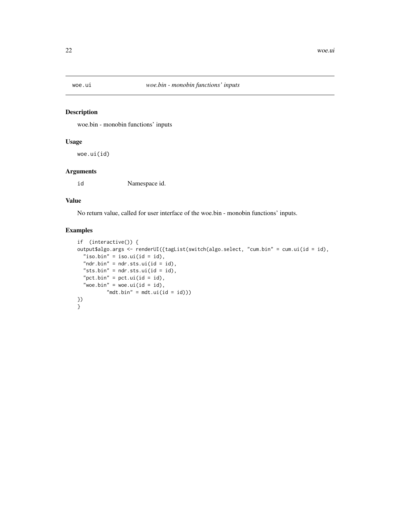<span id="page-21-0"></span>

woe.bin - monobin functions' inputs

# Usage

woe.ui(id)

# Arguments

id Namespace id.

#### Value

No return value, called for user interface of the woe.bin - monobin functions' inputs.

```
if (interactive()) {
output$algo.args <- renderUI({tagList(switch(algo.select, "cum.bin" = cum.ui(id = id),
  "iso.bin" = iso.ui(id = id),
  "ndr.bin" = ndr.sts.ui(id = id),
  "sts.bin" = ndr.sts.ui(id = id),
  "pct.bin" = pct.ui(id = id),
  "woe.bin" = woe.ui(id = id),
          "mdt.bin" = mdt.ui(id = id)))
})
}
```